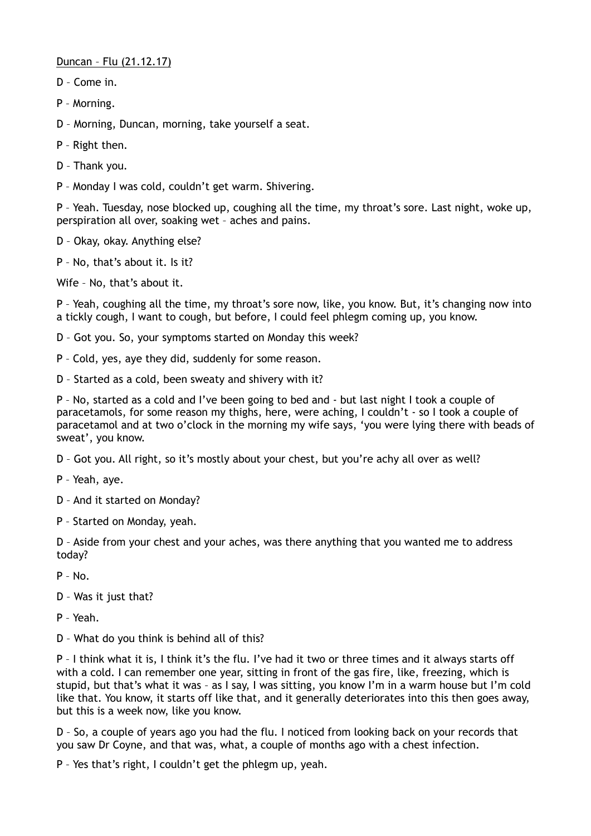Duncan – Flu (21.12.17)

- D Come in.
- P Morning.

D – Morning, Duncan, morning, take yourself a seat.

- P Right then.
- D Thank you.

P – Monday I was cold, couldn't get warm. Shivering.

P – Yeah. Tuesday, nose blocked up, coughing all the time, my throat's sore. Last night, woke up, perspiration all over, soaking wet – aches and pains.

D – Okay, okay. Anything else?

P – No, that's about it. Is it?

Wife – No, that's about it.

P – Yeah, coughing all the time, my throat's sore now, like, you know. But, it's changing now into a tickly cough, I want to cough, but before, I could feel phlegm coming up, you know.

- D Got you. So, your symptoms started on Monday this week?
- P Cold, yes, aye they did, suddenly for some reason.
- D Started as a cold, been sweaty and shivery with it?

P – No, started as a cold and I've been going to bed and - but last night I took a couple of paracetamols, for some reason my thighs, here, were aching, I couldn't - so I took a couple of paracetamol and at two o'clock in the morning my wife says, 'you were lying there with beads of sweat', you know.

- D Got you. All right, so it's mostly about your chest, but you're achy all over as well?
- P Yeah, aye.
- D And it started on Monday?
- P Started on Monday, yeah.

D – Aside from your chest and your aches, was there anything that you wanted me to address today?

P – No.

D – Was it just that?

P – Yeah.

D – What do you think is behind all of this?

P – I think what it is, I think it's the flu. I've had it two or three times and it always starts off with a cold. I can remember one year, sitting in front of the gas fire, like, freezing, which is stupid, but that's what it was – as I say, I was sitting, you know I'm in a warm house but I'm cold like that. You know, it starts off like that, and it generally deteriorates into this then goes away, but this is a week now, like you know.

D – So, a couple of years ago you had the flu. I noticed from looking back on your records that you saw Dr Coyne, and that was, what, a couple of months ago with a chest infection.

P – Yes that's right, I couldn't get the phlegm up, yeah.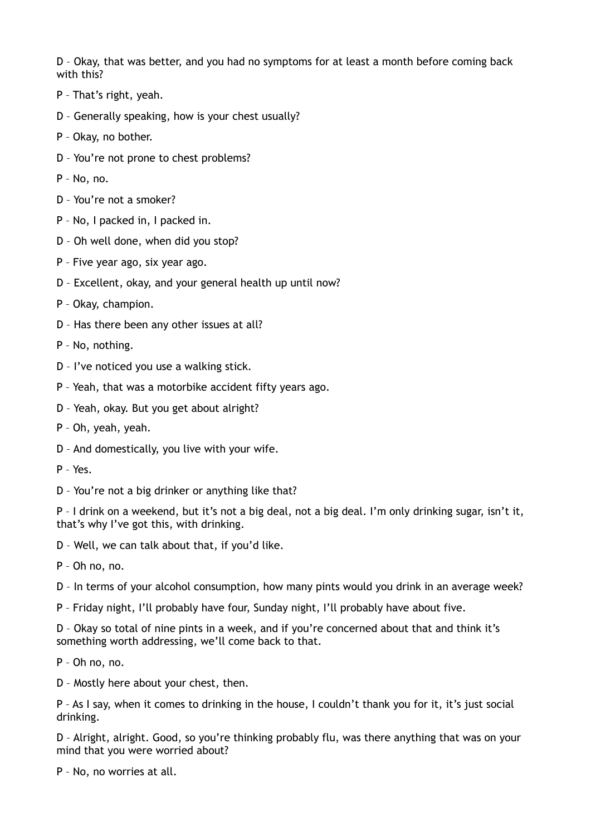D – Okay, that was better, and you had no symptoms for at least a month before coming back with this?

- P That's right, yeah.
- D Generally speaking, how is your chest usually?
- P Okay, no bother.
- D You're not prone to chest problems?
- P No, no.
- D You're not a smoker?
- P No, I packed in, I packed in.
- D Oh well done, when did you stop?
- P Five year ago, six year ago.
- D Excellent, okay, and your general health up until now?
- P Okay, champion.
- D Has there been any other issues at all?
- P No, nothing.
- D I've noticed you use a walking stick.
- P Yeah, that was a motorbike accident fifty years ago.
- D Yeah, okay. But you get about alright?
- P Oh, yeah, yeah.
- D And domestically, you live with your wife.
- P Yes.
- D You're not a big drinker or anything like that?

P – I drink on a weekend, but it's not a big deal, not a big deal. I'm only drinking sugar, isn't it, that's why I've got this, with drinking.

D – Well, we can talk about that, if you'd like.

- P Oh no, no.
- D In terms of your alcohol consumption, how many pints would you drink in an average week?
- P Friday night, I'll probably have four, Sunday night, I'll probably have about five.

D – Okay so total of nine pints in a week, and if you're concerned about that and think it's something worth addressing, we'll come back to that.

- P Oh no, no.
- D Mostly here about your chest, then.

P – As I say, when it comes to drinking in the house, I couldn't thank you for it, it's just social drinking.

D – Alright, alright. Good, so you're thinking probably flu, was there anything that was on your mind that you were worried about?

P – No, no worries at all.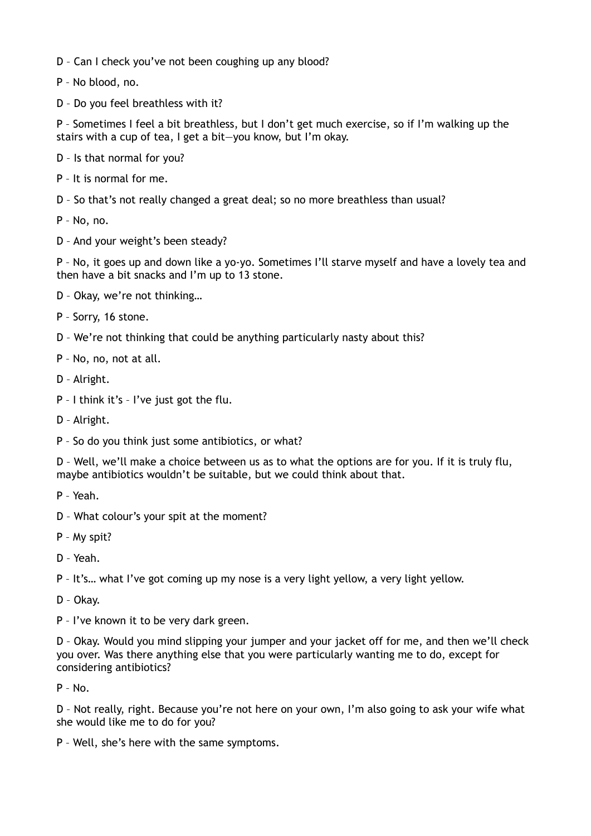- D Can I check you've not been coughing up any blood?
- P No blood, no.
- D Do you feel breathless with it?

P – Sometimes I feel a bit breathless, but I don't get much exercise, so if I'm walking up the stairs with a cup of tea, I get a bit—you know, but I'm okay.

- D Is that normal for you?
- P It is normal for me.
- D So that's not really changed a great deal; so no more breathless than usual?
- P No, no.
- D And your weight's been steady?

P – No, it goes up and down like a yo-yo. Sometimes I'll starve myself and have a lovely tea and then have a bit snacks and I'm up to 13 stone.

- D Okay, we're not thinking…
- P Sorry, 16 stone.
- D We're not thinking that could be anything particularly nasty about this?
- P No, no, not at all.
- D Alright.
- P I think it's I've just got the flu.
- D Alright.
- P So do you think just some antibiotics, or what?

D – Well, we'll make a choice between us as to what the options are for you. If it is truly flu, maybe antibiotics wouldn't be suitable, but we could think about that.

- P Yeah.
- D What colour's your spit at the moment?
- P My spit?
- D Yeah.

P – It's… what I've got coming up my nose is a very light yellow, a very light yellow.

D – Okay.

P – I've known it to be very dark green.

D – Okay. Would you mind slipping your jumper and your jacket off for me, and then we'll check you over. Was there anything else that you were particularly wanting me to do, except for considering antibiotics?

 $P - No.$ 

D – Not really, right. Because you're not here on your own, I'm also going to ask your wife what she would like me to do for you?

P – Well, she's here with the same symptoms.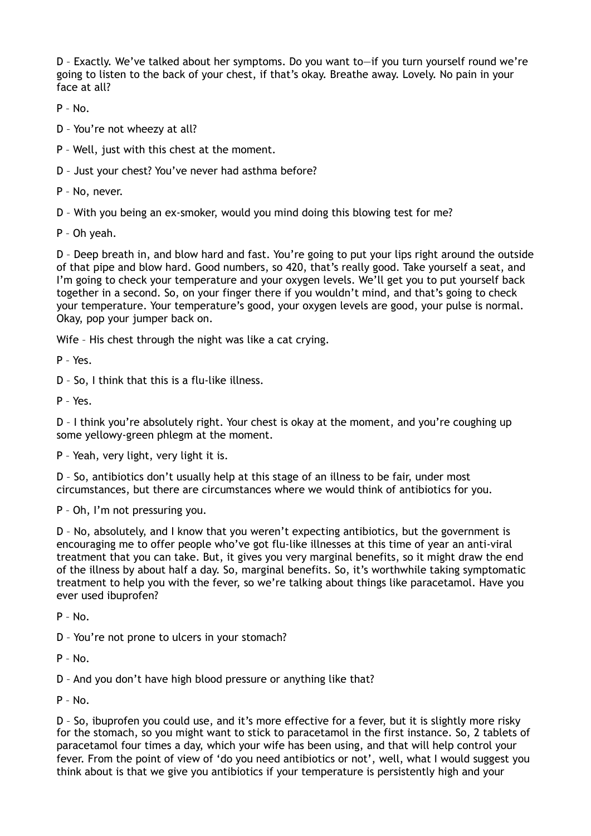D – Exactly. We've talked about her symptoms. Do you want to—if you turn yourself round we're going to listen to the back of your chest, if that's okay. Breathe away. Lovely. No pain in your face at all?

 $P - No.$ 

D – You're not wheezy at all?

P – Well, just with this chest at the moment.

D – Just your chest? You've never had asthma before?

P – No, never.

D – With you being an ex-smoker, would you mind doing this blowing test for me?

P – Oh yeah.

D – Deep breath in, and blow hard and fast. You're going to put your lips right around the outside of that pipe and blow hard. Good numbers, so 420, that's really good. Take yourself a seat, and I'm going to check your temperature and your oxygen levels. We'll get you to put yourself back together in a second. So, on your finger there if you wouldn't mind, and that's going to check your temperature. Your temperature's good, your oxygen levels are good, your pulse is normal. Okay, pop your jumper back on.

Wife – His chest through the night was like a cat crying.

P – Yes.

D – So, I think that this is a flu-like illness.

P – Yes.

D – I think you're absolutely right. Your chest is okay at the moment, and you're coughing up some yellowy-green phlegm at the moment.

P – Yeah, very light, very light it is.

D – So, antibiotics don't usually help at this stage of an illness to be fair, under most circumstances, but there are circumstances where we would think of antibiotics for you.

P – Oh, I'm not pressuring you.

D – No, absolutely, and I know that you weren't expecting antibiotics, but the government is encouraging me to offer people who've got flu-like illnesses at this time of year an anti-viral treatment that you can take. But, it gives you very marginal benefits, so it might draw the end of the illness by about half a day. So, marginal benefits. So, it's worthwhile taking symptomatic treatment to help you with the fever, so we're talking about things like paracetamol. Have you ever used ibuprofen?

 $P - No.$ 

D – You're not prone to ulcers in your stomach?

 $P - No.$ 

D – And you don't have high blood pressure or anything like that?

 $P - No.$ 

D – So, ibuprofen you could use, and it's more effective for a fever, but it is slightly more risky for the stomach, so you might want to stick to paracetamol in the first instance. So, 2 tablets of paracetamol four times a day, which your wife has been using, and that will help control your fever. From the point of view of 'do you need antibiotics or not', well, what I would suggest you think about is that we give you antibiotics if your temperature is persistently high and your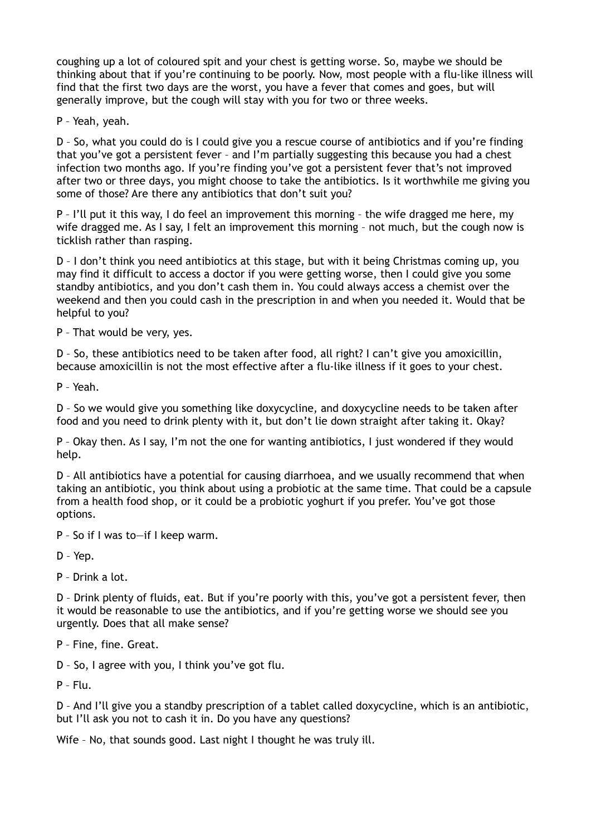coughing up a lot of coloured spit and your chest is getting worse. So, maybe we should be thinking about that if you're continuing to be poorly. Now, most people with a flu-like illness will find that the first two days are the worst, you have a fever that comes and goes, but will generally improve, but the cough will stay with you for two or three weeks.

P – Yeah, yeah.

D – So, what you could do is I could give you a rescue course of antibiotics and if you're finding that you've got a persistent fever – and I'm partially suggesting this because you had a chest infection two months ago. If you're finding you've got a persistent fever that's not improved after two or three days, you might choose to take the antibiotics. Is it worthwhile me giving you some of those? Are there any antibiotics that don't suit you?

P – I'll put it this way, I do feel an improvement this morning – the wife dragged me here, my wife dragged me. As I say, I felt an improvement this morning - not much, but the cough now is ticklish rather than rasping.

D – I don't think you need antibiotics at this stage, but with it being Christmas coming up, you may find it difficult to access a doctor if you were getting worse, then I could give you some standby antibiotics, and you don't cash them in. You could always access a chemist over the weekend and then you could cash in the prescription in and when you needed it. Would that be helpful to you?

P – That would be very, yes.

D – So, these antibiotics need to be taken after food, all right? I can't give you amoxicillin, because amoxicillin is not the most effective after a flu-like illness if it goes to your chest.

P – Yeah.

D – So we would give you something like doxycycline, and doxycycline needs to be taken after food and you need to drink plenty with it, but don't lie down straight after taking it. Okay?

P – Okay then. As I say, I'm not the one for wanting antibiotics, I just wondered if they would help.

D – All antibiotics have a potential for causing diarrhoea, and we usually recommend that when taking an antibiotic, you think about using a probiotic at the same time. That could be a capsule from a health food shop, or it could be a probiotic yoghurt if you prefer. You've got those options.

P – So if I was to—if I keep warm.

D – Yep.

P – Drink a lot.

D – Drink plenty of fluids, eat. But if you're poorly with this, you've got a persistent fever, then it would be reasonable to use the antibiotics, and if you're getting worse we should see you urgently. Does that all make sense?

P – Fine, fine. Great.

D – So, I agree with you, I think you've got flu.

P – Flu.

D – And I'll give you a standby prescription of a tablet called doxycycline, which is an antibiotic, but I'll ask you not to cash it in. Do you have any questions?

Wife – No, that sounds good. Last night I thought he was truly ill.